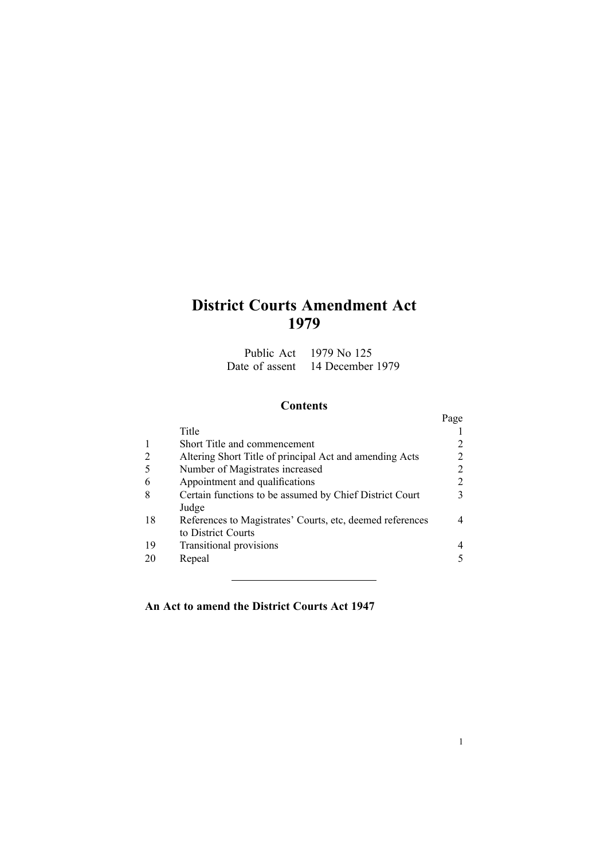# **District Courts Amendment Act 1979**

Public Act 1979 No 125 Date of assent 14 December 1979

## **Contents**

|    |                                                           | Page |
|----|-----------------------------------------------------------|------|
|    | Title                                                     |      |
|    | Short Title and commencement                              | 2    |
|    | Altering Short Title of principal Act and amending Acts   |      |
|    | Number of Magistrates increased                           | 2    |
| 6  | Appointment and qualifications                            | 2    |
| 8  | Certain functions to be assumed by Chief District Court   | 3    |
|    | Judge                                                     |      |
| 18 | References to Magistrates' Courts, etc, deemed references | 4    |
|    | to District Courts                                        |      |
| 19 | Transitional provisions                                   | 4    |
| 20 | Repeal                                                    |      |
|    |                                                           |      |

# **An Act to amend the [District](http://www.legislation.govt.nz/pdfLink.aspx?id=DLM242775) Courts Act 1947**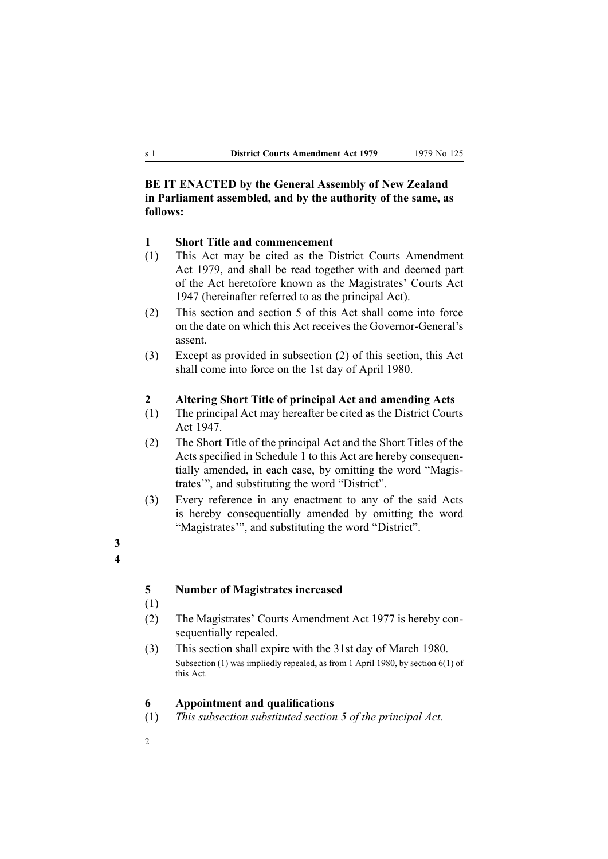# <span id="page-1-0"></span>**BE IT ENACTED by the General Assembly of New Zealand in Parliament assembled, and by the authority of the same, as follows:**

#### **1 Short Title and commencement**

- (1) This Act may be cited as the District Courts Amendment Act 1979, and shall be read together with and deemed par<sup>t</sup> of the Act heretofore known as the [Magistrates'](http://www.legislation.govt.nz/pdfLink.aspx?id=DLM242775) Courts Act [1947](http://www.legislation.govt.nz/pdfLink.aspx?id=DLM242775) (hereinafter referred to as the principal Act).
- (2) This section and section 5 of this Act shall come into force on the date on which this Act receives the Governor-General's assent.
- (3) Except as provided in subsection (2) of this section, this Act shall come into force on the 1st day of April 1980.

#### **2 Altering Short Title of principal Act and amending Acts**

- (1) The principal Act may hereafter be cited as the [District](http://www.legislation.govt.nz/pdfLink.aspx?id=DLM242775) Courts Act [1947](http://www.legislation.govt.nz/pdfLink.aspx?id=DLM242775).
- (2) The Short Title of the principal Act and the Short Titles of the Acts specified in Schedule [1](http://www.legislation.govt.nz/pdfLink.aspx?id=DLM244488) to this Act are hereby consequentially amended, in each case, by omitting the word "Magistrates'", and substituting the word "District".
- (3) Every reference in any enactment to any of the said Acts is hereby consequentially amended by omitting the word "Magistrates'", and substituting the word "District".

## **3 4**

## **5 Number of Magistrates increased**

- (1)
- (2) The Magistrates' Courts Amendment Act 1977 is hereby consequentially repealed.
- (3) This section shall expire with the 31st day of March 1980. Subsection (1) was impliedly repealed, as from 1 April 1980, by section 6(1) of this Act.

## **6 Appointment and qualifications**

- (1) *This subsection substituted section [5](http://www.legislation.govt.nz/pdfLink.aspx?id=DLM242948) of the principal Act.*
- $\mathcal{L}$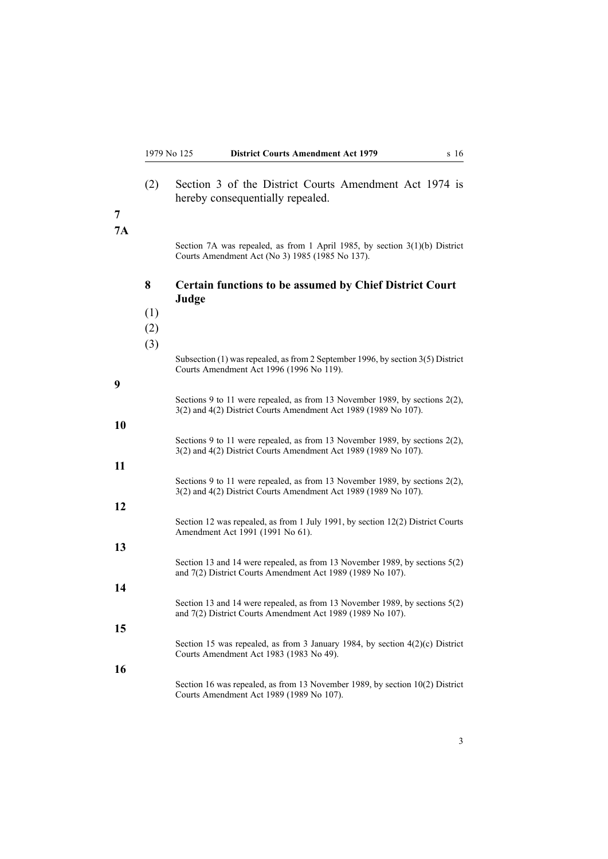<span id="page-2-0"></span>

| 7  | (2)        | Section 3 of the District Courts Amendment Act 1974 is<br>hereby consequentially repealed.                                                        |
|----|------------|---------------------------------------------------------------------------------------------------------------------------------------------------|
| 7A |            | Section 7A was repealed, as from 1 April 1985, by section $3(1)(b)$ District<br>Courts Amendment Act (No 3) 1985 (1985 No 137).                   |
|    | 8<br>(1)   | <b>Certain functions to be assumed by Chief District Court</b><br>Judge                                                                           |
|    | (2)<br>(3) |                                                                                                                                                   |
| 9  |            | Subsection (1) was repealed, as from 2 September 1996, by section 3(5) District<br>Courts Amendment Act 1996 (1996 No 119).                       |
|    |            | Sections 9 to 11 were repealed, as from 13 November 1989, by sections 2(2),<br>3(2) and 4(2) District Courts Amendment Act 1989 (1989 No 107).    |
| 10 |            | Sections 9 to 11 were repealed, as from 13 November 1989, by sections $2(2)$ ,<br>3(2) and 4(2) District Courts Amendment Act 1989 (1989 No 107). |
| 11 |            | Sections 9 to 11 were repealed, as from 13 November 1989, by sections 2(2),<br>3(2) and 4(2) District Courts Amendment Act 1989 (1989 No 107).    |
| 12 |            | Section 12 was repealed, as from 1 July 1991, by section 12(2) District Courts<br>Amendment Act 1991 (1991 No 61).                                |
| 13 |            | Section 13 and 14 were repealed, as from 13 November 1989, by sections $5(2)$<br>and 7(2) District Courts Amendment Act 1989 (1989 No 107).       |
| 14 |            | Section 13 and 14 were repealed, as from 13 November 1989, by sections $5(2)$                                                                     |
| 15 |            | and $7(2)$ District Courts Amendment Act 1989 (1989 No 107).<br>Section 15 was repealed, as from 3 January 1984, by section $4(2)(c)$ District    |
| 16 |            | Courts Amendment Act 1983 (1983 No 49).                                                                                                           |
|    |            | Section 16 was repealed, as from 13 November 1989, by section 10(2) District<br>Courts Amendment Act 1989 (1989 No 107).                          |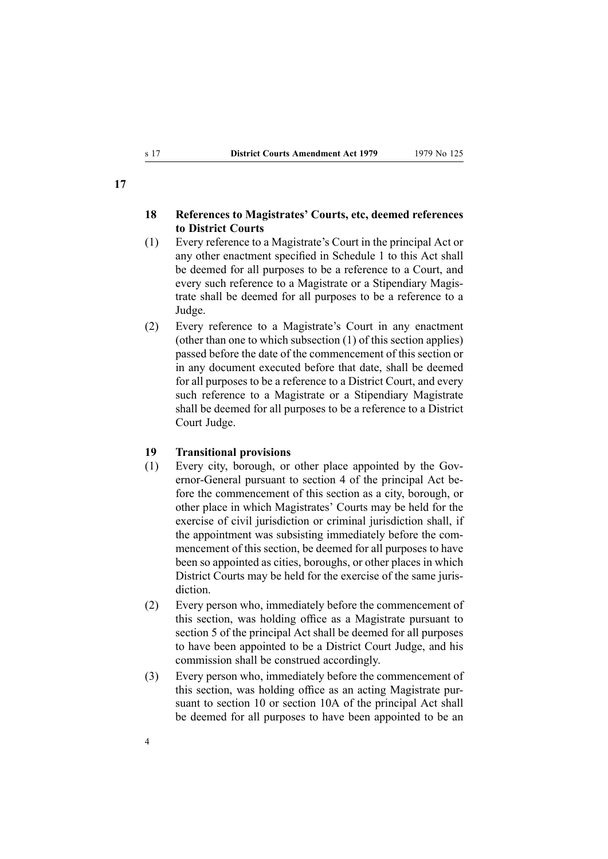## **18 References to Magistrates' Courts, etc, deemed references to District Courts**

- (1) Every reference to <sup>a</sup> Magistrate's Court in the principal Act or any other enactment specified in Schedule [1](http://www.legislation.govt.nz/pdfLink.aspx?id=DLM244488) to this Act shall be deemed for all purposes to be <sup>a</sup> reference to <sup>a</sup> Court, and every such reference to <sup>a</sup> Magistrate or <sup>a</sup> Stipendiary Magistrate shall be deemed for all purposes to be <sup>a</sup> reference to <sup>a</sup> Judge.
- (2) Every reference to <sup>a</sup> Magistrate's Court in any enactment (other than one to which subsection (1) of this section applies) passed before the date of the commencement of this section or in any document executed before that date, shall be deemed for all purposes to be <sup>a</sup> reference to <sup>a</sup> District Court, and every such reference to <sup>a</sup> Magistrate or <sup>a</sup> Stipendiary Magistrate shall be deemed for all purposes to be <sup>a</sup> reference to <sup>a</sup> District Court Judge.

#### **19 Transitional provisions**

- (1) Every city, borough, or other place appointed by the Gov-ernor-General pursuant to section [4](http://www.legislation.govt.nz/pdfLink.aspx?id=DLM242938) of the principal Act before the commencement of this section as <sup>a</sup> city, borough, or other place in which Magistrates' Courts may be held for the exercise of civil jurisdiction or criminal jurisdiction shall, if the appointment was subsisting immediately before the commencement of this section, be deemed for all purposes to have been so appointed as cities, boroughs, or other places in which District Courts may be held for the exercise of the same jurisdiction.
- (2) Every person who, immediately before the commencement of this section, was holding office as <sup>a</sup> Magistrate pursuan<sup>t</sup> to section [5](http://www.legislation.govt.nz/pdfLink.aspx?id=DLM242948) of the principal Act shall be deemed for all purposes to have been appointed to be <sup>a</sup> District Court Judge, and his commission shall be construed accordingly.
- (3) Every person who, immediately before the commencement of this section, was holding office as an acting Magistrate pursuant to section [10](http://www.legislation.govt.nz/pdfLink.aspx?id=DLM242983) or section [10A](http://www.legislation.govt.nz/pdfLink.aspx?id=DLM242987) of the principal Act shall be deemed for all purposes to have been appointed to be an

<span id="page-3-0"></span>**17**